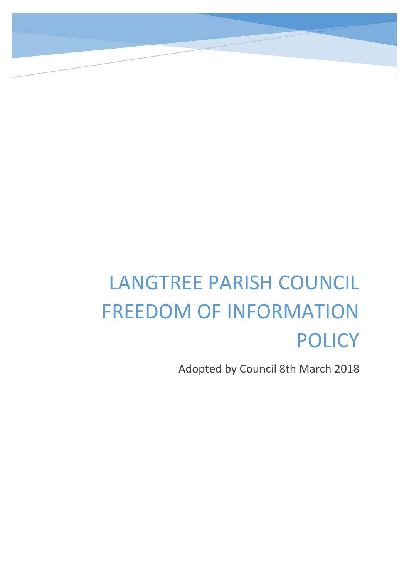## LANGTREE PARISH COUNCIL FREEDOM OF INFORMATION POLICY

Adopted by Council 8th March 2018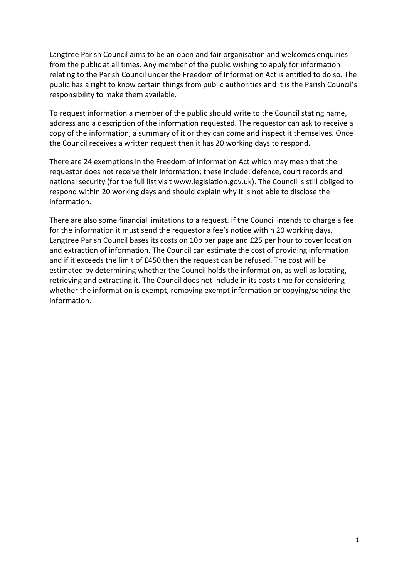Langtree Parish Council aims to be an open and fair organisation and welcomes enquiries from the public at all times. Any member of the public wishing to apply for information relating to the Parish Council under the Freedom of Information Act is entitled to do so. The public has a right to know certain things from public authorities and it is the Parish Council's responsibility to make them available.

To request information a member of the public should write to the Council stating name, address and a description of the information requested. The requestor can ask to receive a copy of the information, a summary of it or they can come and inspect it themselves. Once the Council receives a written request then it has 20 working days to respond.

There are 24 exemptions in the Freedom of Information Act which may mean that the requestor does not receive their information; these include: defence, court records and national security (for the full list visit www.legislation.gov.uk). The Council is still obliged to respond within 20 working days and should explain why it is not able to disclose the information.

There are also some financial limitations to a request. If the Council intends to charge a fee for the information it must send the requestor a fee's notice within 20 working days. Langtree Parish Council bases its costs on 10p per page and £25 per hour to cover location and extraction of information. The Council can estimate the cost of providing information and if it exceeds the limit of £450 then the request can be refused. The cost will be estimated by determining whether the Council holds the information, as well as locating, retrieving and extracting it. The Council does not include in its costs time for considering whether the information is exempt, removing exempt information or copying/sending the information.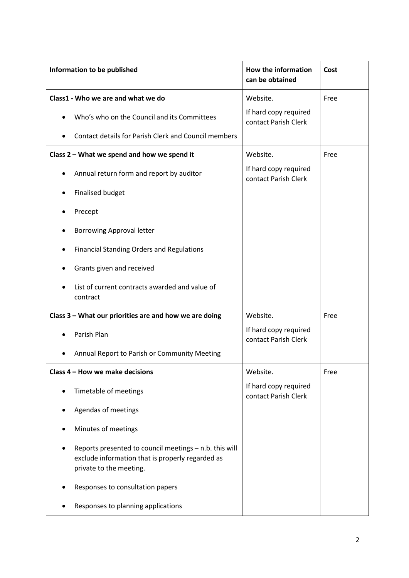| Information to be published                                                                                                           | <b>How the information</b><br>can be obtained | Cost |
|---------------------------------------------------------------------------------------------------------------------------------------|-----------------------------------------------|------|
| Class1 - Who we are and what we do                                                                                                    | Website.                                      | Free |
| Who's who on the Council and its Committees                                                                                           | If hard copy required<br>contact Parish Clerk |      |
| Contact details for Parish Clerk and Council members                                                                                  |                                               |      |
| Class 2 - What we spend and how we spend it                                                                                           | Website.                                      | Free |
| Annual return form and report by auditor                                                                                              | If hard copy required<br>contact Parish Clerk |      |
| <b>Finalised budget</b>                                                                                                               |                                               |      |
| Precept                                                                                                                               |                                               |      |
| <b>Borrowing Approval letter</b>                                                                                                      |                                               |      |
| <b>Financial Standing Orders and Regulations</b>                                                                                      |                                               |      |
| Grants given and received                                                                                                             |                                               |      |
| List of current contracts awarded and value of<br>contract                                                                            |                                               |      |
| Class 3 – What our priorities are and how we are doing                                                                                | Website.                                      | Free |
| Parish Plan                                                                                                                           | If hard copy required<br>contact Parish Clerk |      |
| Annual Report to Parish or Community Meeting                                                                                          |                                               |      |
| Class 4 - How we make decisions                                                                                                       | Website.                                      | Free |
| Timetable of meetings                                                                                                                 | If hard copy required<br>contact Parish Clerk |      |
| Agendas of meetings                                                                                                                   |                                               |      |
| Minutes of meetings                                                                                                                   |                                               |      |
| Reports presented to council meetings - n.b. this will<br>exclude information that is properly regarded as<br>private to the meeting. |                                               |      |
| Responses to consultation papers                                                                                                      |                                               |      |
| Responses to planning applications                                                                                                    |                                               |      |